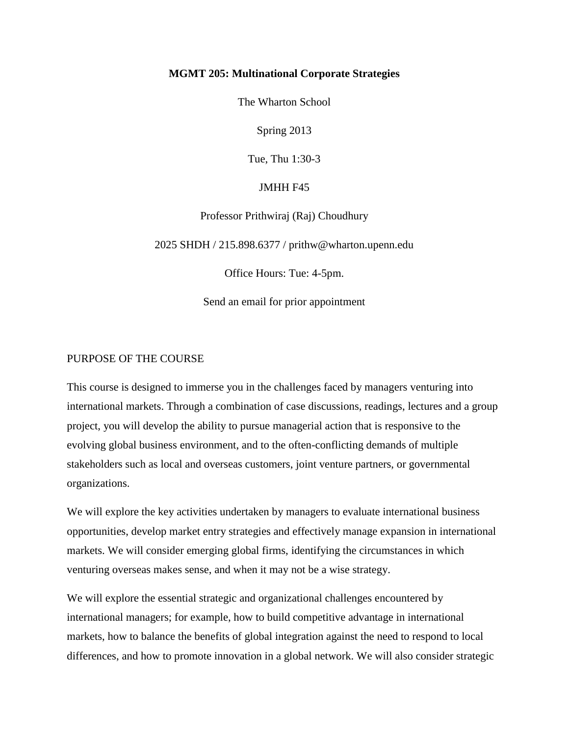### **MGMT 205: Multinational Corporate Strategies**

The Wharton School

Spring 2013

Tue, Thu 1:30-3

## JMHH F45

Professor Prithwiraj (Raj) Choudhury

2025 SHDH / 215.898.6377 / prithw@wharton.upenn.edu

Office Hours: Tue: 4-5pm.

Send an email for prior appointment

## PURPOSE OF THE COURSE

This course is designed to immerse you in the challenges faced by managers venturing into international markets. Through a combination of case discussions, readings, lectures and a group project, you will develop the ability to pursue managerial action that is responsive to the evolving global business environment, and to the often-conflicting demands of multiple stakeholders such as local and overseas customers, joint venture partners, or governmental organizations.

We will explore the key activities undertaken by managers to evaluate international business opportunities, develop market entry strategies and effectively manage expansion in international markets. We will consider emerging global firms, identifying the circumstances in which venturing overseas makes sense, and when it may not be a wise strategy.

We will explore the essential strategic and organizational challenges encountered by international managers; for example, how to build competitive advantage in international markets, how to balance the benefits of global integration against the need to respond to local differences, and how to promote innovation in a global network. We will also consider strategic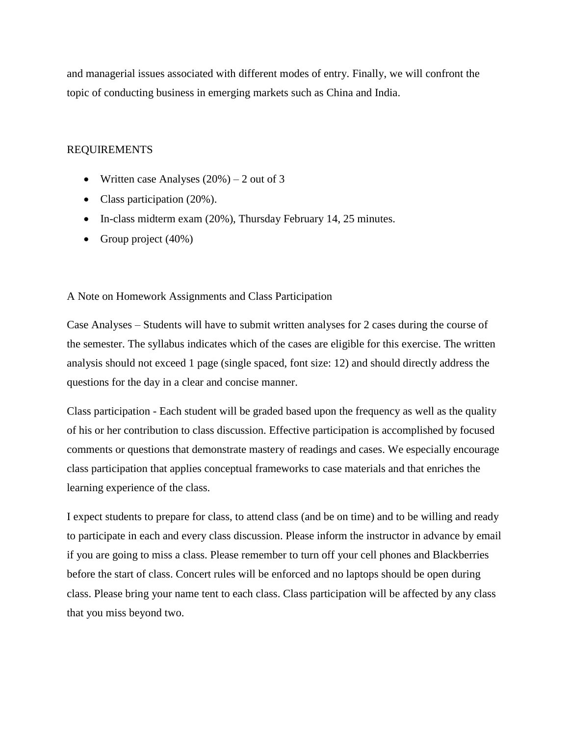and managerial issues associated with different modes of entry. Finally, we will confront the topic of conducting business in emerging markets such as China and India.

## REQUIREMENTS

- Written case Analyses  $(20\%) 2$  out of 3
- Class participation (20%).
- In-class midterm exam (20%), Thursday February 14, 25 minutes.
- Group project  $(40\%)$

### A Note on Homework Assignments and Class Participation

Case Analyses – Students will have to submit written analyses for 2 cases during the course of the semester. The syllabus indicates which of the cases are eligible for this exercise. The written analysis should not exceed 1 page (single spaced, font size: 12) and should directly address the questions for the day in a clear and concise manner.

Class participation - Each student will be graded based upon the frequency as well as the quality of his or her contribution to class discussion. Effective participation is accomplished by focused comments or questions that demonstrate mastery of readings and cases. We especially encourage class participation that applies conceptual frameworks to case materials and that enriches the learning experience of the class.

I expect students to prepare for class, to attend class (and be on time) and to be willing and ready to participate in each and every class discussion. Please inform the instructor in advance by email if you are going to miss a class. Please remember to turn off your cell phones and Blackberries before the start of class. Concert rules will be enforced and no laptops should be open during class. Please bring your name tent to each class. Class participation will be affected by any class that you miss beyond two.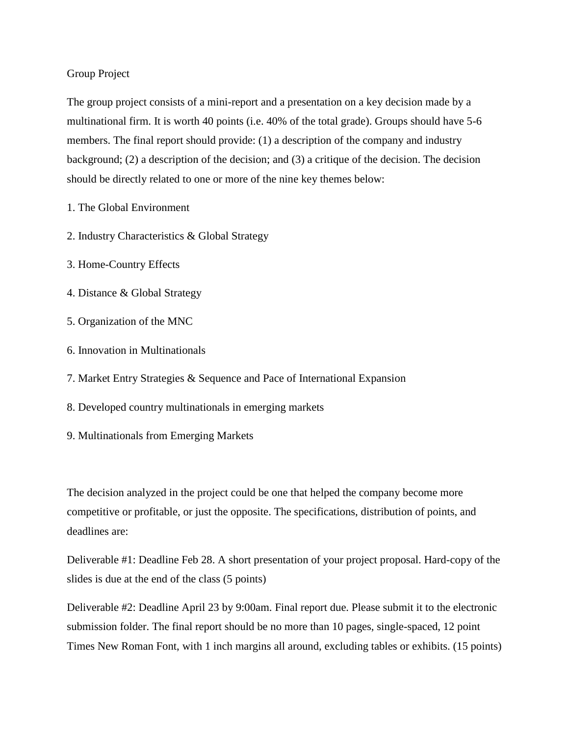## Group Project

The group project consists of a mini-report and a presentation on a key decision made by a multinational firm. It is worth 40 points (i.e. 40% of the total grade). Groups should have 5-6 members. The final report should provide: (1) a description of the company and industry background; (2) a description of the decision; and (3) a critique of the decision. The decision should be directly related to one or more of the nine key themes below:

- 1. The Global Environment
- 2. Industry Characteristics & Global Strategy
- 3. Home-Country Effects
- 4. Distance & Global Strategy
- 5. Organization of the MNC
- 6. Innovation in Multinationals
- 7. Market Entry Strategies & Sequence and Pace of International Expansion
- 8. Developed country multinationals in emerging markets
- 9. Multinationals from Emerging Markets

The decision analyzed in the project could be one that helped the company become more competitive or profitable, or just the opposite. The specifications, distribution of points, and deadlines are:

Deliverable #1: Deadline Feb 28. A short presentation of your project proposal. Hard-copy of the slides is due at the end of the class (5 points)

Deliverable #2: Deadline April 23 by 9:00am. Final report due. Please submit it to the electronic submission folder. The final report should be no more than 10 pages, single-spaced, 12 point Times New Roman Font, with 1 inch margins all around, excluding tables or exhibits. (15 points)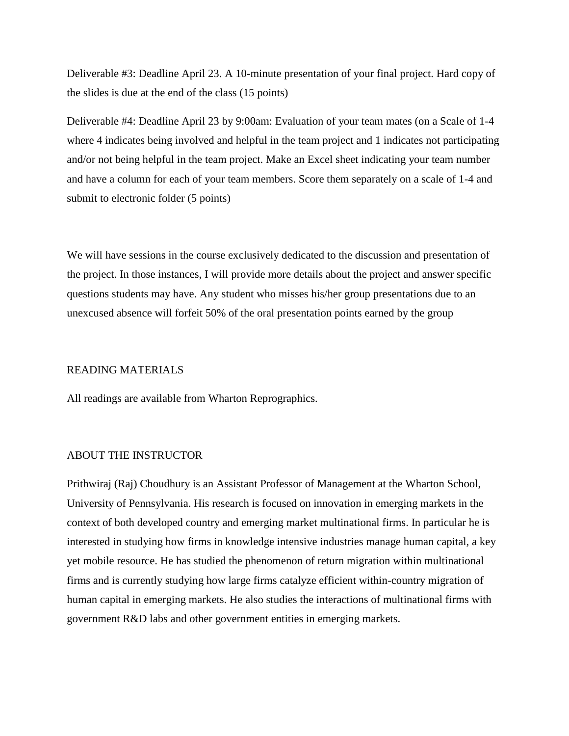Deliverable #3: Deadline April 23. A 10-minute presentation of your final project. Hard copy of the slides is due at the end of the class (15 points)

Deliverable #4: Deadline April 23 by 9:00am: Evaluation of your team mates (on a Scale of 1-4 where 4 indicates being involved and helpful in the team project and 1 indicates not participating and/or not being helpful in the team project. Make an Excel sheet indicating your team number and have a column for each of your team members. Score them separately on a scale of 1-4 and submit to electronic folder (5 points)

We will have sessions in the course exclusively dedicated to the discussion and presentation of the project. In those instances, I will provide more details about the project and answer specific questions students may have. Any student who misses his/her group presentations due to an unexcused absence will forfeit 50% of the oral presentation points earned by the group

### READING MATERIALS

All readings are available from Wharton Reprographics.

## ABOUT THE INSTRUCTOR

Prithwiraj (Raj) Choudhury is an Assistant Professor of Management at the Wharton School, University of Pennsylvania. His research is focused on innovation in emerging markets in the context of both developed country and emerging market multinational firms. In particular he is interested in studying how firms in knowledge intensive industries manage human capital, a key yet mobile resource. He has studied the phenomenon of return migration within multinational firms and is currently studying how large firms catalyze efficient within-country migration of human capital in emerging markets. He also studies the interactions of multinational firms with government R&D labs and other government entities in emerging markets.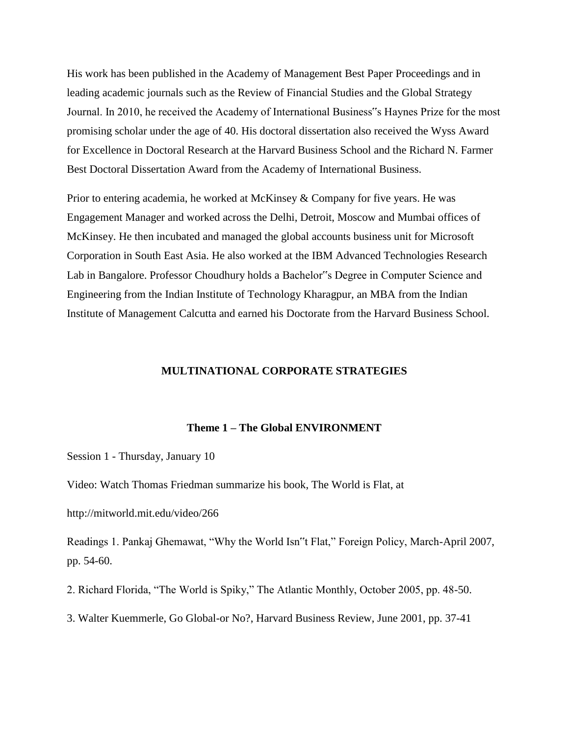His work has been published in the Academy of Management Best Paper Proceedings and in leading academic journals such as the Review of Financial Studies and the Global Strategy Journal. In 2010, he received the Academy of International Business"s Haynes Prize for the most promising scholar under the age of 40. His doctoral dissertation also received the Wyss Award for Excellence in Doctoral Research at the Harvard Business School and the Richard N. Farmer Best Doctoral Dissertation Award from the Academy of International Business.

Prior to entering academia, he worked at McKinsey & Company for five years. He was Engagement Manager and worked across the Delhi, Detroit, Moscow and Mumbai offices of McKinsey. He then incubated and managed the global accounts business unit for Microsoft Corporation in South East Asia. He also worked at the IBM Advanced Technologies Research Lab in Bangalore. Professor Choudhury holds a Bachelor"s Degree in Computer Science and Engineering from the Indian Institute of Technology Kharagpur, an MBA from the Indian Institute of Management Calcutta and earned his Doctorate from the Harvard Business School.

## **MULTINATIONAL CORPORATE STRATEGIES**

#### **Theme 1 – The Global ENVIRONMENT**

Session 1 - Thursday, January 10

Video: Watch Thomas Friedman summarize his book, The World is Flat, at

http://mitworld.mit.edu/video/266

Readings 1. Pankaj Ghemawat, "Why the World Isn"t Flat," Foreign Policy, March-April 2007, pp. 54-60.

2. Richard Florida, "The World is Spiky," The Atlantic Monthly, October 2005, pp. 48-50.

3. Walter Kuemmerle, Go Global-or No?, Harvard Business Review, June 2001, pp. 37-41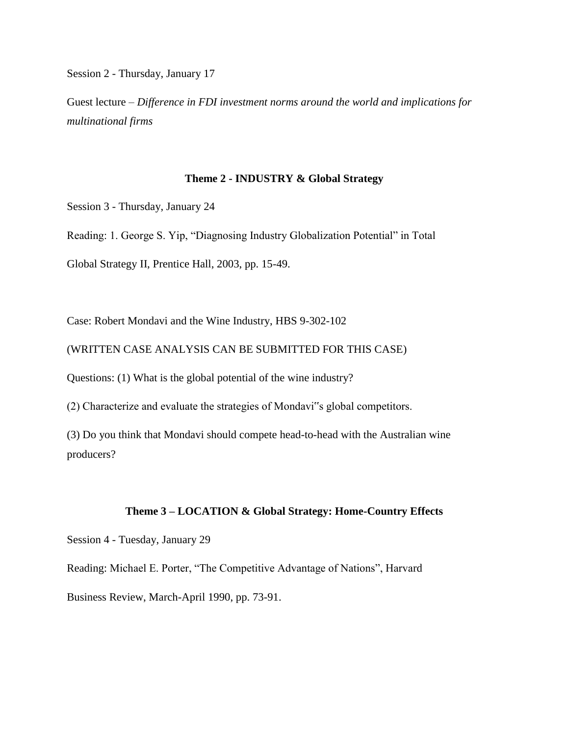Session 2 - Thursday, January 17

Guest lecture – *Difference in FDI investment norms around the world and implications for multinational firms*

#### **Theme 2 - INDUSTRY & Global Strategy**

Session 3 - Thursday, January 24

Reading: 1. George S. Yip, "Diagnosing Industry Globalization Potential" in Total

Global Strategy II, Prentice Hall, 2003, pp. 15-49.

Case: Robert Mondavi and the Wine Industry, HBS 9-302-102

(WRITTEN CASE ANALYSIS CAN BE SUBMITTED FOR THIS CASE)

Questions: (1) What is the global potential of the wine industry?

(2) Characterize and evaluate the strategies of Mondavi"s global competitors.

(3) Do you think that Mondavi should compete head-to-head with the Australian wine producers?

## **Theme 3 – LOCATION & Global Strategy: Home-Country Effects**

Session 4 - Tuesday, January 29

Reading: Michael E. Porter, "The Competitive Advantage of Nations", Harvard

Business Review, March-April 1990, pp. 73-91.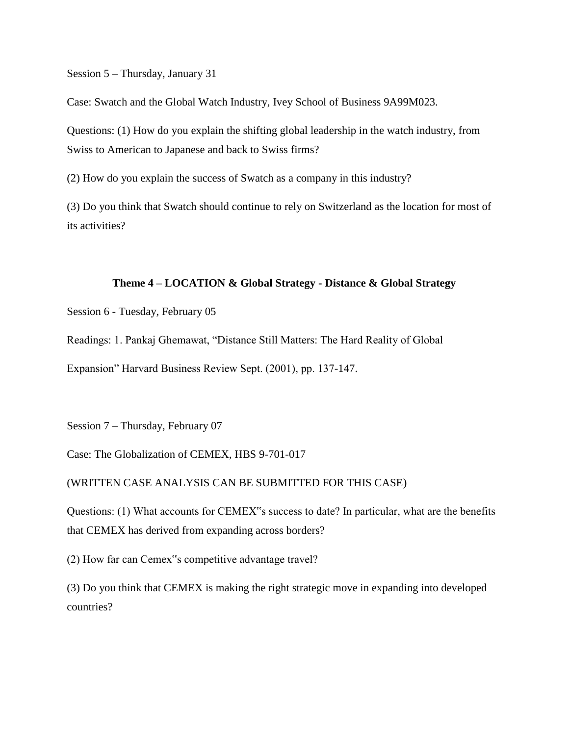Session 5 – Thursday, January 31

Case: Swatch and the Global Watch Industry, Ivey School of Business 9A99M023.

Questions: (1) How do you explain the shifting global leadership in the watch industry, from Swiss to American to Japanese and back to Swiss firms?

(2) How do you explain the success of Swatch as a company in this industry?

(3) Do you think that Swatch should continue to rely on Switzerland as the location for most of its activities?

## **Theme 4 – LOCATION & Global Strategy - Distance & Global Strategy**

Session 6 - Tuesday, February 05

Readings: 1. Pankaj Ghemawat, "Distance Still Matters: The Hard Reality of Global

Expansion" Harvard Business Review Sept. (2001), pp. 137-147.

Session 7 – Thursday, February 07

Case: The Globalization of CEMEX, HBS 9-701-017

## (WRITTEN CASE ANALYSIS CAN BE SUBMITTED FOR THIS CASE)

Questions: (1) What accounts for CEMEX"s success to date? In particular, what are the benefits that CEMEX has derived from expanding across borders?

(2) How far can Cemex"s competitive advantage travel?

(3) Do you think that CEMEX is making the right strategic move in expanding into developed countries?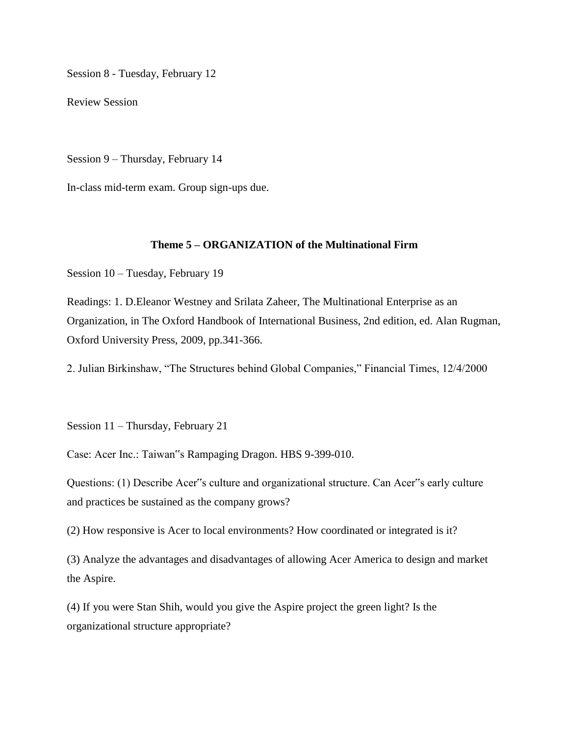Session 8 - Tuesday, February 12

Review Session

Session 9 – Thursday, February 14

In-class mid-term exam. Group sign-ups due.

# **Theme 5 – ORGANIZATION of the Multinational Firm**

Session 10 – Tuesday, February 19

Readings: 1. D.Eleanor Westney and Srilata Zaheer, The Multinational Enterprise as an Organization, in The Oxford Handbook of International Business, 2nd edition, ed. Alan Rugman, Oxford University Press, 2009, pp.341-366.

2. Julian Birkinshaw, "The Structures behind Global Companies," Financial Times, 12/4/2000

Session 11 – Thursday, February 21

Case: Acer Inc.: Taiwan"s Rampaging Dragon. HBS 9-399-010.

Questions: (1) Describe Acer"s culture and organizational structure. Can Acer"s early culture and practices be sustained as the company grows?

(2) How responsive is Acer to local environments? How coordinated or integrated is it?

(3) Analyze the advantages and disadvantages of allowing Acer America to design and market the Aspire.

(4) If you were Stan Shih, would you give the Aspire project the green light? Is the organizational structure appropriate?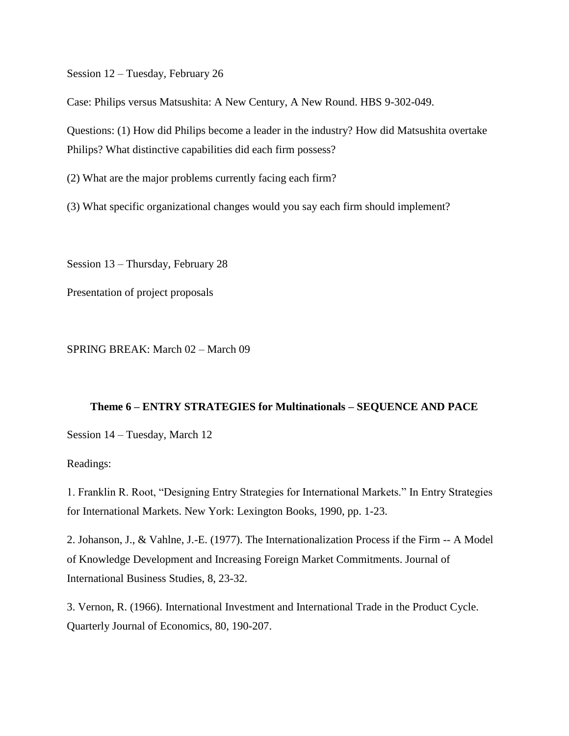Session 12 – Tuesday, February 26

Case: Philips versus Matsushita: A New Century, A New Round. HBS 9-302-049.

Questions: (1) How did Philips become a leader in the industry? How did Matsushita overtake Philips? What distinctive capabilities did each firm possess?

(2) What are the major problems currently facing each firm?

(3) What specific organizational changes would you say each firm should implement?

Session 13 – Thursday, February 28

Presentation of project proposals

SPRING BREAK: March 02 – March 09

#### **Theme 6 – ENTRY STRATEGIES for Multinationals – SEQUENCE AND PACE**

Session 14 – Tuesday, March 12

Readings:

1. Franklin R. Root, "Designing Entry Strategies for International Markets." In Entry Strategies for International Markets. New York: Lexington Books, 1990, pp. 1-23.

2. Johanson, J., & Vahlne, J.-E. (1977). The Internationalization Process if the Firm -- A Model of Knowledge Development and Increasing Foreign Market Commitments. Journal of International Business Studies, 8, 23-32.

3. Vernon, R. (1966). International Investment and International Trade in the Product Cycle. Quarterly Journal of Economics, 80, 190-207.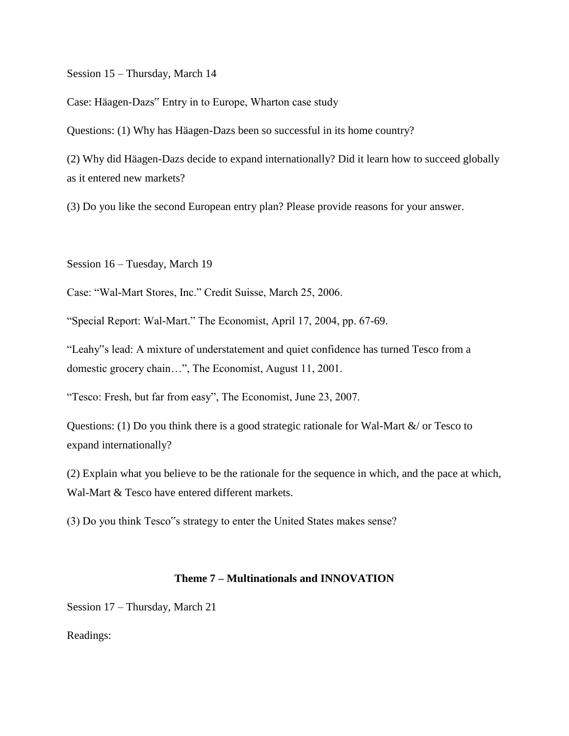Session 15 – Thursday, March 14

Case: Häagen-Dazs" Entry in to Europe, Wharton case study

Questions: (1) Why has Häagen-Dazs been so successful in its home country?

(2) Why did Häagen-Dazs decide to expand internationally? Did it learn how to succeed globally as it entered new markets?

(3) Do you like the second European entry plan? Please provide reasons for your answer.

Session 16 – Tuesday, March 19

Case: "Wal-Mart Stores, Inc." Credit Suisse, March 25, 2006.

"Special Report: Wal-Mart." The Economist, April 17, 2004, pp. 67-69.

"Leahy"s lead: A mixture of understatement and quiet confidence has turned Tesco from a domestic grocery chain…", The Economist, August 11, 2001.

"Tesco: Fresh, but far from easy", The Economist, June 23, 2007.

Questions: (1) Do you think there is a good strategic rationale for Wal-Mart &/ or Tesco to expand internationally?

(2) Explain what you believe to be the rationale for the sequence in which, and the pace at which, Wal-Mart & Tesco have entered different markets.

(3) Do you think Tesco"s strategy to enter the United States makes sense?

## **Theme 7 – Multinationals and INNOVATION**

Session 17 – Thursday, March 21

Readings: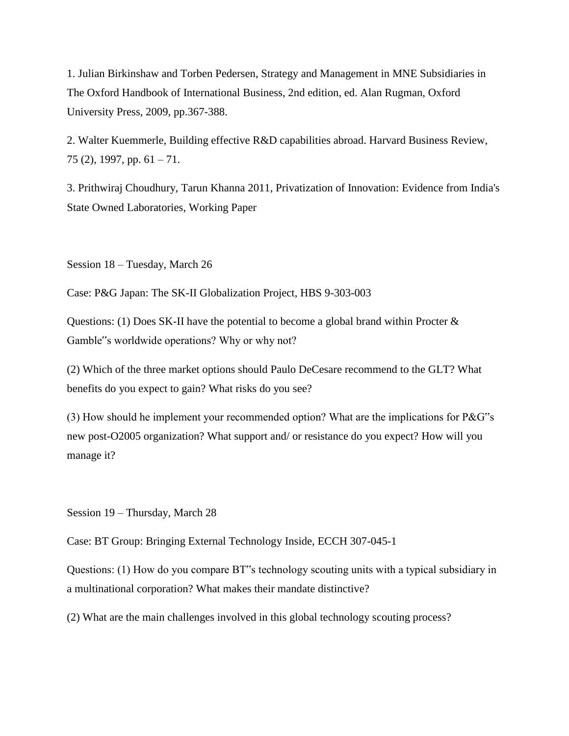1. Julian Birkinshaw and Torben Pedersen, Strategy and Management in MNE Subsidiaries in The Oxford Handbook of International Business, 2nd edition, ed. Alan Rugman, Oxford University Press, 2009, pp.367-388.

2. Walter Kuemmerle, Building effective R&D capabilities abroad. Harvard Business Review, 75 (2), 1997, pp.  $61 - 71$ .

3. Prithwiraj Choudhury, Tarun Khanna 2011, Privatization of Innovation: Evidence from India's State Owned Laboratories, Working Paper

Session 18 – Tuesday, March 26

Case: P&G Japan: The SK-II Globalization Project, HBS 9-303-003

Questions: (1) Does SK-II have the potential to become a global brand within Procter & Gamble"s worldwide operations? Why or why not?

(2) Which of the three market options should Paulo DeCesare recommend to the GLT? What benefits do you expect to gain? What risks do you see?

(3) How should he implement your recommended option? What are the implications for P&G"s new post-O2005 organization? What support and/ or resistance do you expect? How will you manage it?

Session 19 – Thursday, March 28

Case: BT Group: Bringing External Technology Inside, ECCH 307-045-1

Questions: (1) How do you compare BT"s technology scouting units with a typical subsidiary in a multinational corporation? What makes their mandate distinctive?

(2) What are the main challenges involved in this global technology scouting process?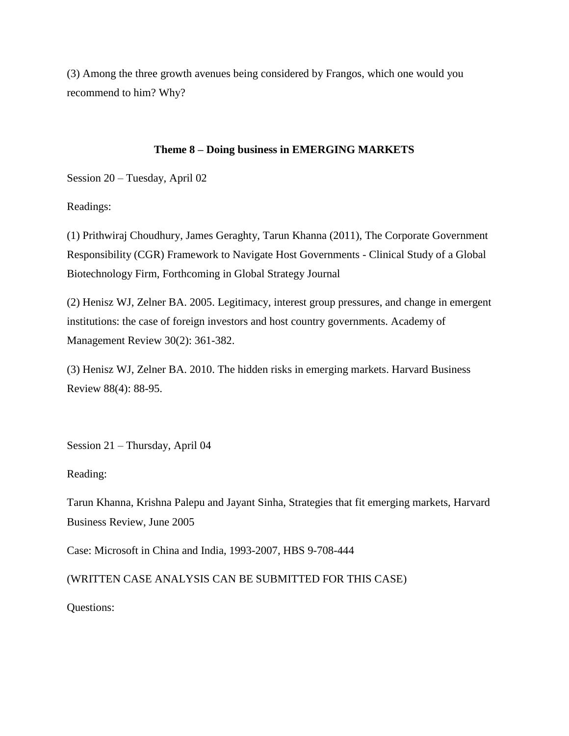(3) Among the three growth avenues being considered by Frangos, which one would you recommend to him? Why?

## **Theme 8 – Doing business in EMERGING MARKETS**

Session 20 – Tuesday, April 02

Readings:

(1) Prithwiraj Choudhury, James Geraghty, Tarun Khanna (2011), The Corporate Government Responsibility (CGR) Framework to Navigate Host Governments - Clinical Study of a Global Biotechnology Firm, Forthcoming in Global Strategy Journal

(2) Henisz WJ, Zelner BA. 2005. Legitimacy, interest group pressures, and change in emergent institutions: the case of foreign investors and host country governments. Academy of Management Review 30(2): 361-382.

(3) Henisz WJ, Zelner BA. 2010. The hidden risks in emerging markets. Harvard Business Review 88(4): 88-95.

Session 21 – Thursday, April 04

Reading:

Tarun Khanna, Krishna Palepu and Jayant Sinha, Strategies that fit emerging markets, Harvard Business Review, June 2005

Case: Microsoft in China and India, 1993-2007, HBS 9-708-444

(WRITTEN CASE ANALYSIS CAN BE SUBMITTED FOR THIS CASE)

Questions: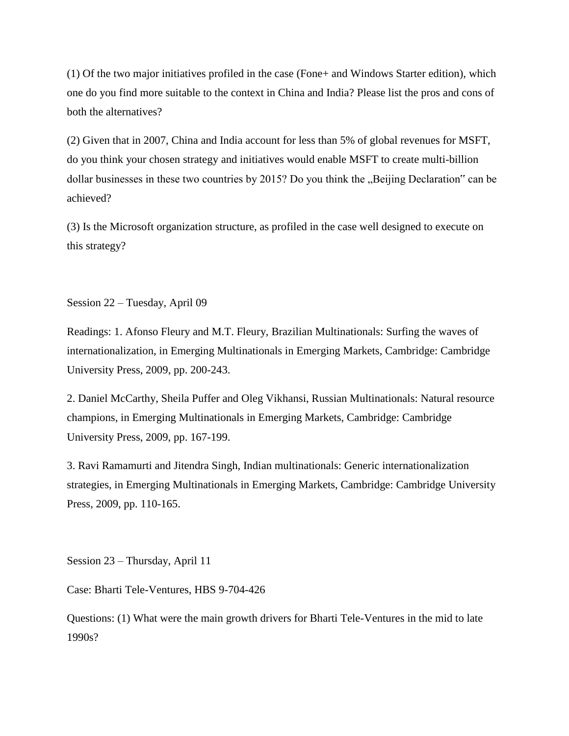(1) Of the two major initiatives profiled in the case (Fone+ and Windows Starter edition), which one do you find more suitable to the context in China and India? Please list the pros and cons of both the alternatives?

(2) Given that in 2007, China and India account for less than 5% of global revenues for MSFT, do you think your chosen strategy and initiatives would enable MSFT to create multi-billion dollar businesses in these two countries by 2015? Do you think the "Beijing Declaration" can be achieved?

(3) Is the Microsoft organization structure, as profiled in the case well designed to execute on this strategy?

Session 22 – Tuesday, April 09

Readings: 1. Afonso Fleury and M.T. Fleury, Brazilian Multinationals: Surfing the waves of internationalization, in Emerging Multinationals in Emerging Markets, Cambridge: Cambridge University Press, 2009, pp. 200-243.

2. Daniel McCarthy, Sheila Puffer and Oleg Vikhansi, Russian Multinationals: Natural resource champions, in Emerging Multinationals in Emerging Markets, Cambridge: Cambridge University Press, 2009, pp. 167-199.

3. Ravi Ramamurti and Jitendra Singh, Indian multinationals: Generic internationalization strategies, in Emerging Multinationals in Emerging Markets, Cambridge: Cambridge University Press, 2009, pp. 110-165.

Session 23 – Thursday, April 11

Case: Bharti Tele-Ventures, HBS 9-704-426

Questions: (1) What were the main growth drivers for Bharti Tele-Ventures in the mid to late 1990s?